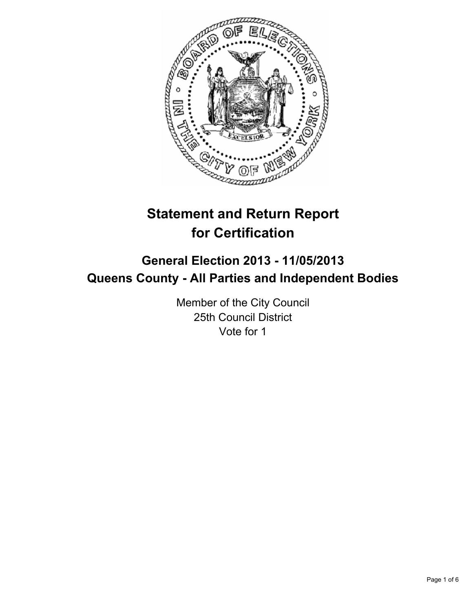

# **Statement and Return Report for Certification**

## **General Election 2013 - 11/05/2013 Queens County - All Parties and Independent Bodies**

Member of the City Council 25th Council District Vote for 1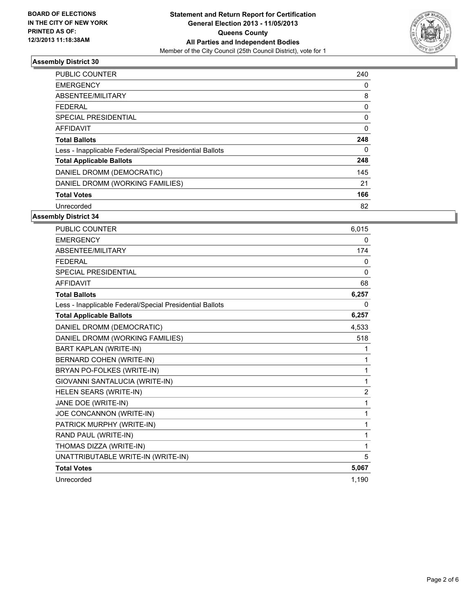

#### **Assembly District 30**

| <b>PUBLIC COUNTER</b>                                    | 240      |
|----------------------------------------------------------|----------|
| <b>EMERGENCY</b>                                         | 0        |
| ABSENTEE/MILITARY                                        | 8        |
| FEDERAL                                                  | 0        |
| <b>SPECIAL PRESIDENTIAL</b>                              | 0        |
| <b>AFFIDAVIT</b>                                         | 0        |
| <b>Total Ballots</b>                                     | 248      |
| Less - Inapplicable Federal/Special Presidential Ballots | $\Omega$ |
| <b>Total Applicable Ballots</b>                          | 248      |
| DANIEL DROMM (DEMOCRATIC)                                | 145      |
| DANIEL DROMM (WORKING FAMILIES)                          | 21       |
| <b>Total Votes</b>                                       | 166      |
| Unrecorded                                               | 82       |

#### **Assembly District 34**

| <b>PUBLIC COUNTER</b>                                    | 6,015          |
|----------------------------------------------------------|----------------|
| <b>EMERGENCY</b>                                         | 0              |
| ABSENTEE/MILITARY                                        | 174            |
| <b>FEDERAL</b>                                           | 0              |
| <b>SPECIAL PRESIDENTIAL</b>                              | 0              |
| <b>AFFIDAVIT</b>                                         | 68             |
| <b>Total Ballots</b>                                     | 6,257          |
| Less - Inapplicable Federal/Special Presidential Ballots | 0              |
| <b>Total Applicable Ballots</b>                          | 6,257          |
| DANIEL DROMM (DEMOCRATIC)                                | 4,533          |
| DANIEL DROMM (WORKING FAMILIES)                          | 518            |
| <b>BART KAPLAN (WRITE-IN)</b>                            | 1              |
| BERNARD COHEN (WRITE-IN)                                 | 1              |
| BRYAN PO-FOLKES (WRITE-IN)                               | 1              |
| GIOVANNI SANTALUCIA (WRITE-IN)                           | 1              |
| HELEN SEARS (WRITE-IN)                                   | $\overline{2}$ |
| JANE DOE (WRITE-IN)                                      | 1              |
| JOE CONCANNON (WRITE-IN)                                 | 1              |
| PATRICK MURPHY (WRITE-IN)                                | 1              |
| RAND PAUL (WRITE-IN)                                     | 1              |
| THOMAS DIZZA (WRITE-IN)                                  | 1              |
| UNATTRIBUTABLE WRITE-IN (WRITE-IN)                       | 5              |
| <b>Total Votes</b>                                       | 5,067          |
| Unrecorded                                               | 1,190          |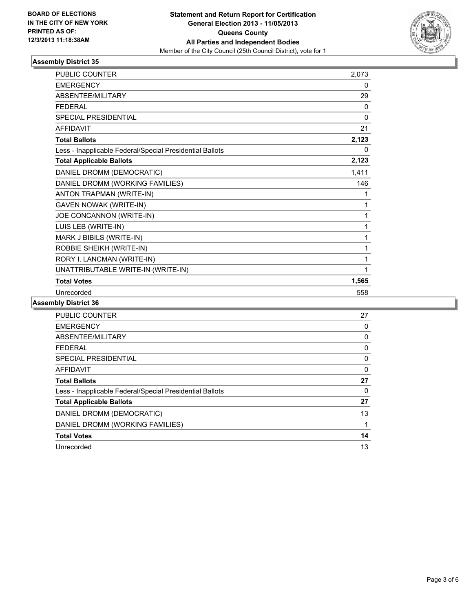

#### **Assembly District 35**

| <b>PUBLIC COUNTER</b>                                    | 2,073    |
|----------------------------------------------------------|----------|
| <b>EMERGENCY</b>                                         | 0        |
| <b>ABSENTEE/MILITARY</b>                                 | 29       |
| <b>FEDERAL</b>                                           | 0        |
| <b>SPECIAL PRESIDENTIAL</b>                              | $\Omega$ |
| <b>AFFIDAVIT</b>                                         | 21       |
| <b>Total Ballots</b>                                     | 2,123    |
| Less - Inapplicable Federal/Special Presidential Ballots | 0        |
| <b>Total Applicable Ballots</b>                          | 2,123    |
| DANIEL DROMM (DEMOCRATIC)                                | 1,411    |
| DANIEL DROMM (WORKING FAMILIES)                          | 146      |
| ANTON TRAPMAN (WRITE-IN)                                 | 1        |
| <b>GAVEN NOWAK (WRITE-IN)</b>                            | 1        |
| JOE CONCANNON (WRITE-IN)                                 | 1        |
| LUIS LEB (WRITE-IN)                                      | 1        |
| MARK J BIBILS (WRITE-IN)                                 | 1        |
| ROBBIE SHEIKH (WRITE-IN)                                 | 1        |
| RORY I. LANCMAN (WRITE-IN)                               | 1        |
| UNATTRIBUTABLE WRITE-IN (WRITE-IN)                       | 1        |
| <b>Total Votes</b>                                       | 1,565    |
| Unrecorded                                               | 558      |

#### **Assembly District 36**

| <b>PUBLIC COUNTER</b>                                    | 27       |
|----------------------------------------------------------|----------|
| <b>EMERGENCY</b>                                         | 0        |
| ABSENTEE/MILITARY                                        | 0        |
| <b>FEDERAL</b>                                           | 0        |
| SPECIAL PRESIDENTIAL                                     | 0        |
| <b>AFFIDAVIT</b>                                         | 0        |
| <b>Total Ballots</b>                                     | 27       |
| Less - Inapplicable Federal/Special Presidential Ballots | $\Omega$ |
| <b>Total Applicable Ballots</b>                          | 27       |
| DANIEL DROMM (DEMOCRATIC)                                | 13       |
| DANIEL DROMM (WORKING FAMILIES)                          |          |
| <b>Total Votes</b>                                       | 14       |
| Unrecorded                                               | 13       |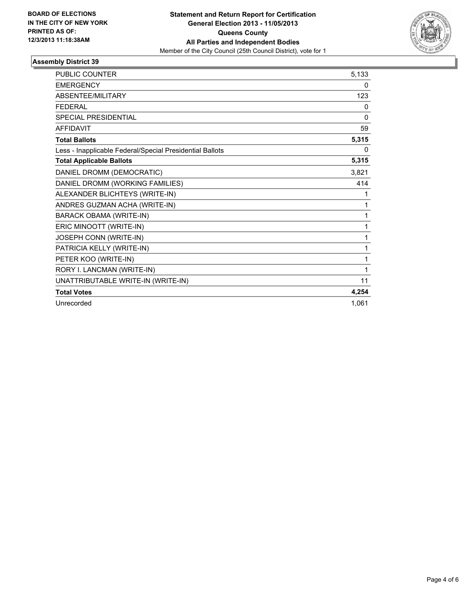

#### **Assembly District 39**

| <b>PUBLIC COUNTER</b>                                    | 5,133 |
|----------------------------------------------------------|-------|
| <b>EMERGENCY</b>                                         | 0     |
| ABSENTEE/MILITARY                                        | 123   |
| <b>FEDERAL</b>                                           | 0     |
| <b>SPECIAL PRESIDENTIAL</b>                              | 0     |
| <b>AFFIDAVIT</b>                                         | 59    |
| <b>Total Ballots</b>                                     | 5,315 |
| Less - Inapplicable Federal/Special Presidential Ballots | 0     |
| <b>Total Applicable Ballots</b>                          | 5,315 |
| DANIEL DROMM (DEMOCRATIC)                                | 3,821 |
| DANIEL DROMM (WORKING FAMILIES)                          | 414   |
| ALEXANDER BLICHTEYS (WRITE-IN)                           | 1     |
| ANDRES GUZMAN ACHA (WRITE-IN)                            | 1     |
| <b>BARACK OBAMA (WRITE-IN)</b>                           | 1     |
| ERIC MINOOTT (WRITE-IN)                                  | 1     |
| JOSEPH CONN (WRITE-IN)                                   | 1     |
| PATRICIA KELLY (WRITE-IN)                                | 1     |
| PETER KOO (WRITE-IN)                                     | 1     |
| RORY I. LANCMAN (WRITE-IN)                               | 1     |
| UNATTRIBUTABLE WRITE-IN (WRITE-IN)                       | 11    |
| <b>Total Votes</b>                                       | 4,254 |
| Unrecorded                                               | 1.061 |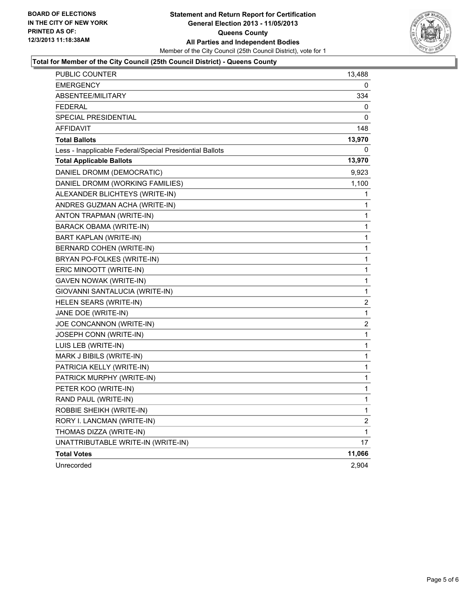

#### **Total for Member of the City Council (25th Council District) - Queens County**

| PUBLIC COUNTER                                           | 13,488                  |
|----------------------------------------------------------|-------------------------|
| <b>EMERGENCY</b>                                         | 0                       |
| ABSENTEE/MILITARY                                        | 334                     |
| <b>FEDERAL</b>                                           | 0                       |
| SPECIAL PRESIDENTIAL                                     | 0                       |
| <b>AFFIDAVIT</b>                                         | 148                     |
| <b>Total Ballots</b>                                     | 13,970                  |
| Less - Inapplicable Federal/Special Presidential Ballots | 0                       |
| <b>Total Applicable Ballots</b>                          | 13,970                  |
| DANIEL DROMM (DEMOCRATIC)                                | 9,923                   |
| DANIEL DROMM (WORKING FAMILIES)                          | 1,100                   |
| ALEXANDER BLICHTEYS (WRITE-IN)                           | 1                       |
| ANDRES GUZMAN ACHA (WRITE-IN)                            | 1                       |
| ANTON TRAPMAN (WRITE-IN)                                 | 1                       |
| BARACK OBAMA (WRITE-IN)                                  | 1                       |
| BART KAPLAN (WRITE-IN)                                   | 1                       |
| BERNARD COHEN (WRITE-IN)                                 | 1                       |
| BRYAN PO-FOLKES (WRITE-IN)                               | 1                       |
| ERIC MINOOTT (WRITE-IN)                                  | 1                       |
| <b>GAVEN NOWAK (WRITE-IN)</b>                            | 1                       |
| GIOVANNI SANTALUCIA (WRITE-IN)                           | 1                       |
| HELEN SEARS (WRITE-IN)                                   | $\overline{\mathbf{c}}$ |
| JANE DOE (WRITE-IN)                                      | 1                       |
| JOE CONCANNON (WRITE-IN)                                 | 2                       |
| JOSEPH CONN (WRITE-IN)                                   | 1                       |
| LUIS LEB (WRITE-IN)                                      | 1                       |
| MARK J BIBILS (WRITE-IN)                                 | 1                       |
| PATRICIA KELLY (WRITE-IN)                                | 1                       |
| PATRICK MURPHY (WRITE-IN)                                | 1                       |
| PETER KOO (WRITE-IN)                                     | 1                       |
| RAND PAUL (WRITE-IN)                                     | 1                       |
| ROBBIE SHEIKH (WRITE-IN)                                 | 1                       |
| RORY I. LANCMAN (WRITE-IN)                               | 2                       |
| THOMAS DIZZA (WRITE-IN)                                  | 1                       |
| UNATTRIBUTABLE WRITE-IN (WRITE-IN)                       | 17                      |
| <b>Total Votes</b>                                       | 11,066                  |
| Unrecorded                                               | 2,904                   |